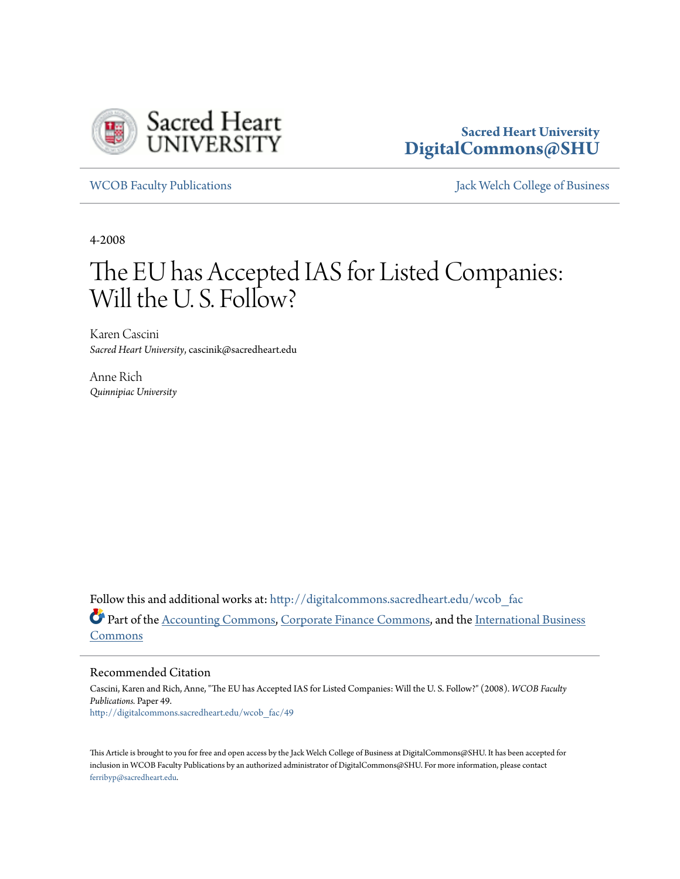

# **Sacred Heart University [DigitalCommons@SHU](http://digitalcommons.sacredheart.edu?utm_source=digitalcommons.sacredheart.edu%2Fwcob_fac%2F49&utm_medium=PDF&utm_campaign=PDFCoverPages)**

[WCOB Faculty Publications](http://digitalcommons.sacredheart.edu/wcob_fac?utm_source=digitalcommons.sacredheart.edu%2Fwcob_fac%2F49&utm_medium=PDF&utm_campaign=PDFCoverPages) [Jack Welch College of Business](http://digitalcommons.sacredheart.edu/wcob?utm_source=digitalcommons.sacredheart.edu%2Fwcob_fac%2F49&utm_medium=PDF&utm_campaign=PDFCoverPages)

4-2008

# The EU has Accepted IAS for Listed Companies: Will the U.S. Follow?

Karen Cascini *Sacred Heart University*, cascinik@sacredheart.edu

Anne Rich *Quinnipiac University*

Follow this and additional works at: [http://digitalcommons.sacredheart.edu/wcob\\_fac](http://digitalcommons.sacredheart.edu/wcob_fac?utm_source=digitalcommons.sacredheart.edu%2Fwcob_fac%2F49&utm_medium=PDF&utm_campaign=PDFCoverPages) Part of the [Accounting Commons](http://network.bepress.com/hgg/discipline/625?utm_source=digitalcommons.sacredheart.edu%2Fwcob_fac%2F49&utm_medium=PDF&utm_campaign=PDFCoverPages), [Corporate Finance Commons](http://network.bepress.com/hgg/discipline/629?utm_source=digitalcommons.sacredheart.edu%2Fwcob_fac%2F49&utm_medium=PDF&utm_campaign=PDFCoverPages), and the [International Business](http://network.bepress.com/hgg/discipline/634?utm_source=digitalcommons.sacredheart.edu%2Fwcob_fac%2F49&utm_medium=PDF&utm_campaign=PDFCoverPages) [Commons](http://network.bepress.com/hgg/discipline/634?utm_source=digitalcommons.sacredheart.edu%2Fwcob_fac%2F49&utm_medium=PDF&utm_campaign=PDFCoverPages)

Recommended Citation

Cascini, Karen and Rich, Anne, "The EU has Accepted IAS for Listed Companies: Will the U. S. Follow?" (2008). *WCOB Faculty Publications.* Paper 49. [http://digitalcommons.sacredheart.edu/wcob\\_fac/49](http://digitalcommons.sacredheart.edu/wcob_fac/49?utm_source=digitalcommons.sacredheart.edu%2Fwcob_fac%2F49&utm_medium=PDF&utm_campaign=PDFCoverPages)

This Article is brought to you for free and open access by the Jack Welch College of Business at DigitalCommons@SHU. It has been accepted for inclusion in WCOB Faculty Publications by an authorized administrator of DigitalCommons@SHU. For more information, please contact [ferribyp@sacredheart.edu](mailto:ferribyp@sacredheart.edu).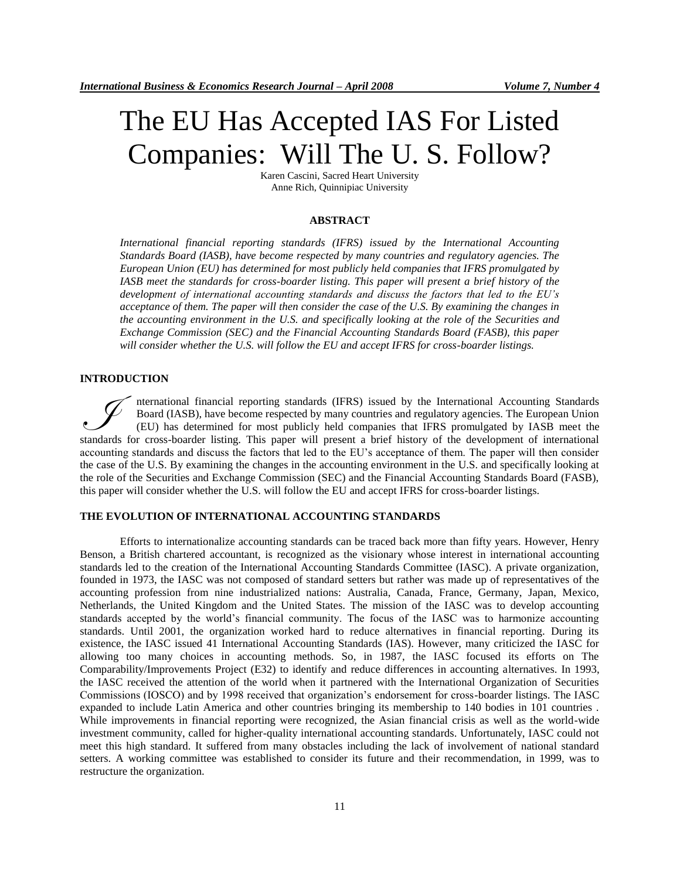# The EU Has Accepted IAS For Listed Companies: Will The U. S. Follow?

Karen Cascini, Sacred Heart University Anne Rich, Quinnipiac University

# **ABSTRACT**

*International financial reporting standards (IFRS) issued by the International Accounting Standards Board (IASB), have become respected by many countries and regulatory agencies. The European Union (EU) has determined for most publicly held companies that IFRS promulgated by IASB meet the standards for cross-boarder listing. This paper will present a brief history of the development of international accounting standards and discuss the factors that led to the EU's acceptance of them. The paper will then consider the case of the U.S. By examining the changes in the accounting environment in the U.S. and specifically looking at the role of the Securities and Exchange Commission (SEC) and the Financial Accounting Standards Board (FASB), this paper will consider whether the U.S. will follow the EU and accept IFRS for cross-boarder listings.*

#### **INTRODUCTION**

nternational financial reporting standards (IFRS) issued by the International Accounting Standards Board (IASB), have become respected by many countries and regulatory agencies. The European Union (EU) has determined for most publicly held companies that IFRS promulgated by IASB meet the standards for cross-boarder listing. This paper will present a brief history of the development of international standards for cross-boarder listing. This paper will present a brief history of the development of internatio accounting standards and discuss the factors that led to the EU's acceptance of them. The paper will then consider the case of the U.S. By examining the changes in the accounting environment in the U.S. and specifically looking at the role of the Securities and Exchange Commission (SEC) and the Financial Accounting Standards Board (FASB), this paper will consider whether the U.S. will follow the EU and accept IFRS for cross-boarder listings.

#### **THE EVOLUTION OF INTERNATIONAL ACCOUNTING STANDARDS**

Efforts to internationalize accounting standards can be traced back more than fifty years. However, Henry Benson, a British chartered accountant, is recognized as the visionary whose interest in international accounting standards led to the creation of the International Accounting Standards Committee (IASC). A private organization, founded in 1973, the IASC was not composed of standard setters but rather was made up of representatives of the accounting profession from nine industrialized nations: Australia, Canada, France, Germany, Japan, Mexico, Netherlands, the United Kingdom and the United States. The mission of the IASC was to develop accounting standards accepted by the world's financial community. The focus of the IASC was to harmonize accounting standards. Until 2001, the organization worked hard to reduce alternatives in financial reporting. During its existence, the IASC issued 41 International Accounting Standards (IAS). However, many criticized the IASC for allowing too many choices in accounting methods. So, in 1987, the IASC focused its efforts on The Comparability/Improvements Project (E32) to identify and reduce differences in accounting alternatives. In 1993, the IASC received the attention of the world when it partnered with the International Organization of Securities Commissions (IOSCO) and by 1998 received that organization's endorsement for cross-boarder listings. The IASC expanded to include Latin America and other countries bringing its membership to 140 bodies in 101 countries . While improvements in financial reporting were recognized, the Asian financial crisis as well as the world-wide investment community, called for higher-quality international accounting standards. Unfortunately, IASC could not meet this high standard. It suffered from many obstacles including the lack of involvement of national standard setters. A working committee was established to consider its future and their recommendation, in 1999, was to restructure the organization.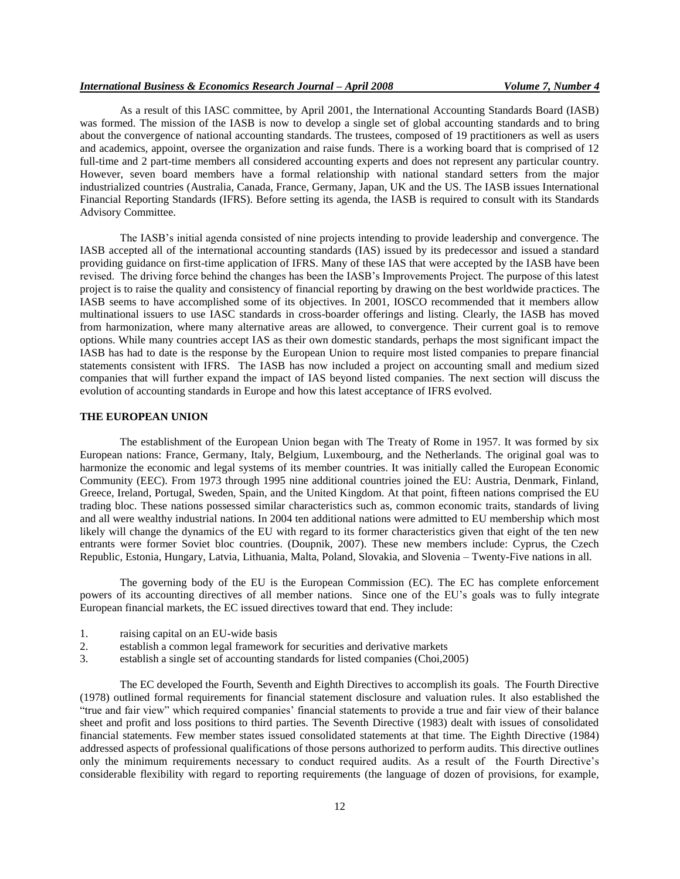As a result of this IASC committee, by April 2001, the International Accounting Standards Board (IASB) was formed. The mission of the IASB is now to develop a single set of global accounting standards and to bring about the convergence of national accounting standards. The trustees, composed of 19 practitioners as well as users and academics, appoint, oversee the organization and raise funds. There is a working board that is comprised of 12 full-time and 2 part-time members all considered accounting experts and does not represent any particular country. However, seven board members have a formal relationship with national standard setters from the major industrialized countries (Australia, Canada, France, Germany, Japan, UK and the US. The IASB issues International Financial Reporting Standards (IFRS). Before setting its agenda, the IASB is required to consult with its Standards Advisory Committee.

The IASB's initial agenda consisted of nine projects intending to provide leadership and convergence. The IASB accepted all of the international accounting standards (IAS) issued by its predecessor and issued a standard providing guidance on first-time application of IFRS. Many of these IAS that were accepted by the IASB have been revised. The driving force behind the changes has been the IASB's Improvements Project. The purpose of this latest project is to raise the quality and consistency of financial reporting by drawing on the best worldwide practices. The IASB seems to have accomplished some of its objectives. In 2001, IOSCO recommended that it members allow multinational issuers to use IASC standards in cross-boarder offerings and listing. Clearly, the IASB has moved from harmonization, where many alternative areas are allowed, to convergence. Their current goal is to remove options. While many countries accept IAS as their own domestic standards, perhaps the most significant impact the IASB has had to date is the response by the European Union to require most listed companies to prepare financial statements consistent with IFRS. The IASB has now included a project on accounting small and medium sized companies that will further expand the impact of IAS beyond listed companies. The next section will discuss the evolution of accounting standards in Europe and how this latest acceptance of IFRS evolved.

#### **THE EUROPEAN UNION**

The establishment of the European Union began with The Treaty of Rome in 1957. It was formed by six European nations: France, Germany, Italy, Belgium, Luxembourg, and the Netherlands. The original goal was to harmonize the economic and legal systems of its member countries. It was initially called the European Economic Community (EEC). From 1973 through 1995 nine additional countries joined the EU: Austria, Denmark, Finland, Greece, Ireland, Portugal, Sweden, Spain, and the United Kingdom. At that point, fifteen nations comprised the EU trading bloc. These nations possessed similar characteristics such as, common economic traits, standards of living and all were wealthy industrial nations. In 2004 ten additional nations were admitted to EU membership which most likely will change the dynamics of the EU with regard to its former characteristics given that eight of the ten new entrants were former Soviet bloc countries. (Doupnik, 2007). These new members include: Cyprus, the Czech Republic, Estonia, Hungary, Latvia, Lithuania, Malta, Poland, Slovakia, and Slovenia – Twenty-Five nations in all.

The governing body of the EU is the European Commission (EC). The EC has complete enforcement powers of its accounting directives of all member nations. Since one of the EU's goals was to fully integrate European financial markets, the EC issued directives toward that end. They include:

- 1. raising capital on an EU-wide basis
- 2. establish a common legal framework for securities and derivative markets
- 3. establish a single set of accounting standards for listed companies (Choi,2005)

The EC developed the Fourth, Seventh and Eighth Directives to accomplish its goals. The Fourth Directive (1978) outlined formal requirements for financial statement disclosure and valuation rules. It also established the "true and fair view" which required companies' financial statements to provide a true and fair view of their balance sheet and profit and loss positions to third parties. The Seventh Directive (1983) dealt with issues of consolidated financial statements. Few member states issued consolidated statements at that time. The Eighth Directive (1984) addressed aspects of professional qualifications of those persons authorized to perform audits. This directive outlines only the minimum requirements necessary to conduct required audits. As a result of the Fourth Directive's considerable flexibility with regard to reporting requirements (the language of dozen of provisions, for example,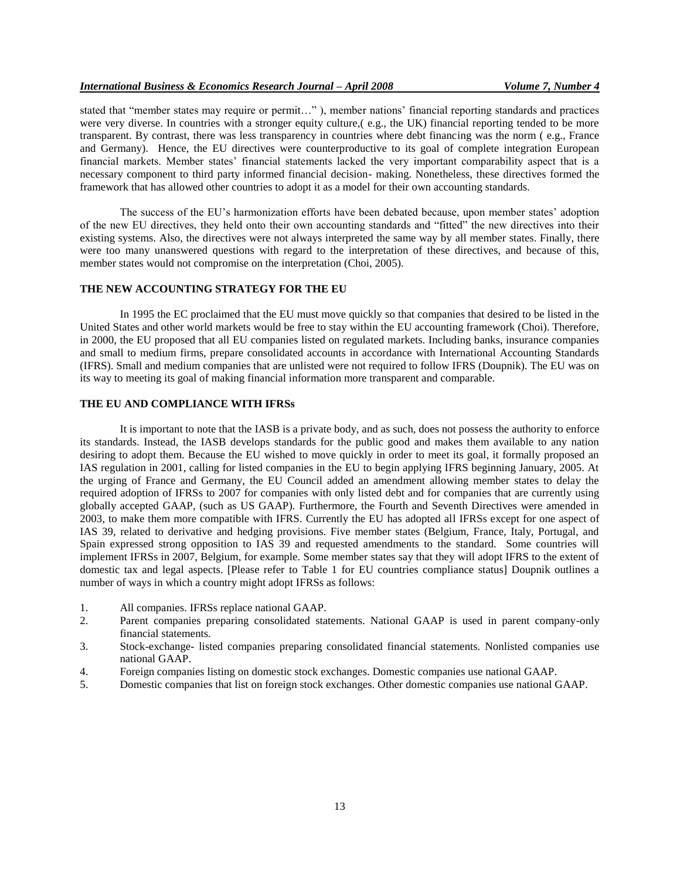stated that "member states may require or permit…" ), member nations' financial reporting standards and practices were very diverse. In countries with a stronger equity culture,( e.g., the UK) financial reporting tended to be more transparent. By contrast, there was less transparency in countries where debt financing was the norm ( e.g., France and Germany). Hence, the EU directives were counterproductive to its goal of complete integration European financial markets. Member states' financial statements lacked the very important comparability aspect that is a necessary component to third party informed financial decision- making. Nonetheless, these directives formed the framework that has allowed other countries to adopt it as a model for their own accounting standards.

The success of the EU's harmonization efforts have been debated because, upon member states' adoption of the new EU directives, they held onto their own accounting standards and "fitted" the new directives into their existing systems. Also, the directives were not always interpreted the same way by all member states. Finally, there were too many unanswered questions with regard to the interpretation of these directives, and because of this, member states would not compromise on the interpretation (Choi, 2005).

#### **THE NEW ACCOUNTING STRATEGY FOR THE EU**

In 1995 the EC proclaimed that the EU must move quickly so that companies that desired to be listed in the United States and other world markets would be free to stay within the EU accounting framework (Choi). Therefore, in 2000, the EU proposed that all EU companies listed on regulated markets. Including banks, insurance companies and small to medium firms, prepare consolidated accounts in accordance with International Accounting Standards (IFRS). Small and medium companies that are unlisted were not required to follow IFRS (Doupnik). The EU was on its way to meeting its goal of making financial information more transparent and comparable.

## **THE EU AND COMPLIANCE WITH IFRSs**

It is important to note that the IASB is a private body, and as such, does not possess the authority to enforce its standards. Instead, the IASB develops standards for the public good and makes them available to any nation desiring to adopt them. Because the EU wished to move quickly in order to meet its goal, it formally proposed an IAS regulation in 2001, calling for listed companies in the EU to begin applying IFRS beginning January, 2005. At the urging of France and Germany, the EU Council added an amendment allowing member states to delay the required adoption of IFRSs to 2007 for companies with only listed debt and for companies that are currently using globally accepted GAAP, (such as US GAAP). Furthermore, the Fourth and Seventh Directives were amended in 2003, to make them more compatible with IFRS. Currently the EU has adopted all IFRSs except for one aspect of IAS 39, related to derivative and hedging provisions. Five member states (Belgium, France, Italy, Portugal, and Spain expressed strong opposition to IAS 39 and requested amendments to the standard. Some countries will implement IFRSs in 2007, Belgium, for example. Some member states say that they will adopt IFRS to the extent of domestic tax and legal aspects. [Please refer to Table 1 for EU countries compliance status] Doupnik outlines a number of ways in which a country might adopt IFRSs as follows:

- 1. All companies. IFRSs replace national GAAP.
- 2. Parent companies preparing consolidated statements. National GAAP is used in parent company-only financial statements.
- 3. Stock-exchange- listed companies preparing consolidated financial statements. Nonlisted companies use national GAAP.
- 4. Foreign companies listing on domestic stock exchanges. Domestic companies use national GAAP.
- 5. Domestic companies that list on foreign stock exchanges. Other domestic companies use national GAAP.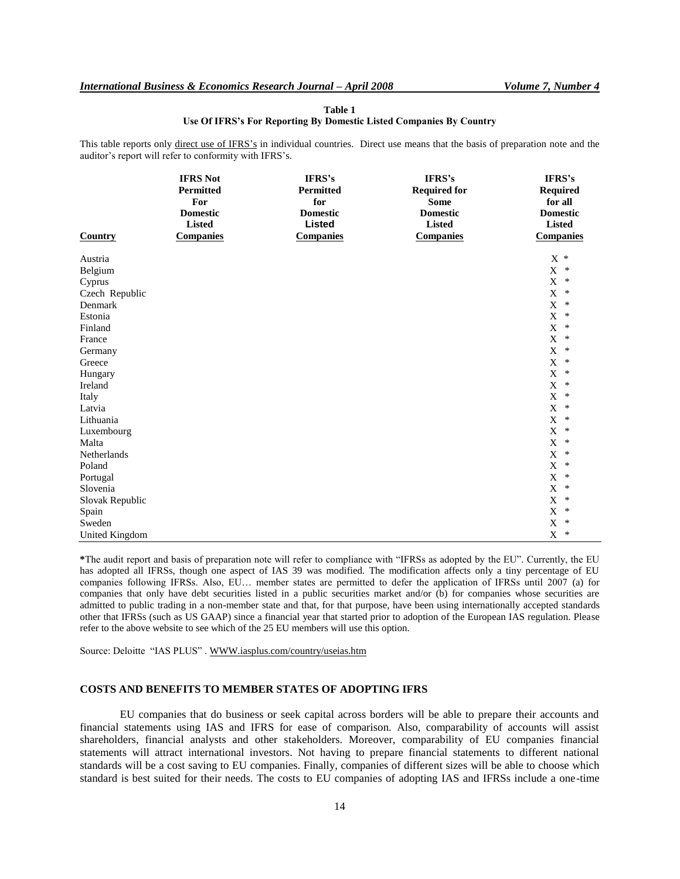| auditor's report will refer to conformity with IFRS's. |                                                                                             |                                                                             |                                                                                                      |                                                                                              |
|--------------------------------------------------------|---------------------------------------------------------------------------------------------|-----------------------------------------------------------------------------|------------------------------------------------------------------------------------------------------|----------------------------------------------------------------------------------------------|
| <b>Country</b>                                         | <b>IFRS Not</b><br>Permitted<br>For<br><b>Domestic</b><br><b>Listed</b><br><b>Companies</b> | IFRS's<br>Permitted<br>for<br><b>Domestic</b><br>Listed<br><b>Companies</b> | IFRS's<br><b>Required for</b><br><b>Some</b><br><b>Domestic</b><br><b>Listed</b><br><b>Companies</b> | IFRS's<br><b>Required</b><br>for all<br><b>Domestic</b><br><b>Listed</b><br><b>Companies</b> |
| Austria                                                |                                                                                             |                                                                             |                                                                                                      | $X *$                                                                                        |
| Belgium                                                |                                                                                             |                                                                             |                                                                                                      | X<br>$\ast$                                                                                  |
| Cyprus                                                 |                                                                                             |                                                                             |                                                                                                      | $\mathbf X$<br>$\ast$                                                                        |
| Czech Republic                                         |                                                                                             |                                                                             |                                                                                                      | $\mathbf X$<br>$\ast$                                                                        |
| Denmark                                                |                                                                                             |                                                                             |                                                                                                      | $\mathbf X$<br>∗                                                                             |
| Estonia                                                |                                                                                             |                                                                             |                                                                                                      | X<br>∗                                                                                       |
| Finland                                                |                                                                                             |                                                                             |                                                                                                      | $\mathbf X$<br>∗                                                                             |
| France                                                 |                                                                                             |                                                                             |                                                                                                      | $\mathbf X$<br>$\ast$                                                                        |
| Germany                                                |                                                                                             |                                                                             |                                                                                                      | $\mathbf X$<br>$\ast$                                                                        |
| Greece                                                 |                                                                                             |                                                                             |                                                                                                      | X<br>∗                                                                                       |
| Hungary                                                |                                                                                             |                                                                             |                                                                                                      | X<br>$\ast$                                                                                  |
| Ireland                                                |                                                                                             |                                                                             |                                                                                                      | $\mathbf X$<br>$\ast$                                                                        |
| Italy                                                  |                                                                                             |                                                                             |                                                                                                      | $\mathbf X$<br>$\ast$                                                                        |
| Latvia                                                 |                                                                                             |                                                                             |                                                                                                      | $\mathbf X$<br>$\ast$                                                                        |
| Lithuania                                              |                                                                                             |                                                                             |                                                                                                      | $\mathbf X$<br>$\ast$                                                                        |
| Luxembourg                                             |                                                                                             |                                                                             |                                                                                                      | X<br>$\ast$                                                                                  |
| Malta                                                  |                                                                                             |                                                                             |                                                                                                      | $\mathbf X$<br>$\ast$                                                                        |
| Netherlands                                            |                                                                                             |                                                                             |                                                                                                      | $\mathbf X$<br>$\ast$                                                                        |
| Poland                                                 |                                                                                             |                                                                             |                                                                                                      | X<br>∗                                                                                       |
| Portugal                                               |                                                                                             |                                                                             |                                                                                                      | X<br>$\ast$                                                                                  |
| Slovenia                                               |                                                                                             |                                                                             |                                                                                                      | $\mathbf X$<br>$\ast$                                                                        |
| Slovak Republic                                        |                                                                                             |                                                                             |                                                                                                      | $\mathbf X$<br>∗                                                                             |
| Spain                                                  |                                                                                             |                                                                             |                                                                                                      | $\mathbf X$<br>$\ast$                                                                        |
| Sweden                                                 |                                                                                             |                                                                             |                                                                                                      | $\mathbf X$<br>∗                                                                             |
| United Kingdom                                         |                                                                                             |                                                                             |                                                                                                      | $\mathbf X$<br>∗                                                                             |

#### **Table 1 Use Of IFRS's For Reporting By Domestic Listed Companies By Country**

This table reports only direct use of IFRS's in individual countries. Direct use means that the basis of preparation note and the auditor's report will refer to conformity with IFRS's.

**\***The audit report and basis of preparation note will refer to compliance with "IFRSs as adopted by the EU". Currently, the EU has adopted all IFRSs, though one aspect of IAS 39 was modified. The modification affects only a tiny percentage of EU companies following IFRSs. Also, EU… member states are permitted to defer the application of IFRSs until 2007 (a) for companies that only have debt securities listed in a public securities market and/or (b) for companies whose securities are admitted to public trading in a non-member state and that, for that purpose, have been using internationally accepted standards other that IFRSs (such as US GAAP) since a financial year that started prior to adoption of the European IAS regulation. Please refer to the above website to see which of the 25 EU members will use this option.

Source: Deloitte "IAS PLUS" . WWW.iasplus.com/country/useias.htm

#### **COSTS AND BENEFITS TO MEMBER STATES OF ADOPTING IFRS**

EU companies that do business or seek capital across borders will be able to prepare their accounts and financial statements using IAS and IFRS for ease of comparison. Also, comparability of accounts will assist shareholders, financial analysts and other stakeholders. Moreover, comparability of EU companies financial statements will attract international investors. Not having to prepare financial statements to different national standards will be a cost saving to EU companies. Finally, companies of different sizes will be able to choose which standard is best suited for their needs. The costs to EU companies of adopting IAS and IFRSs include a one-time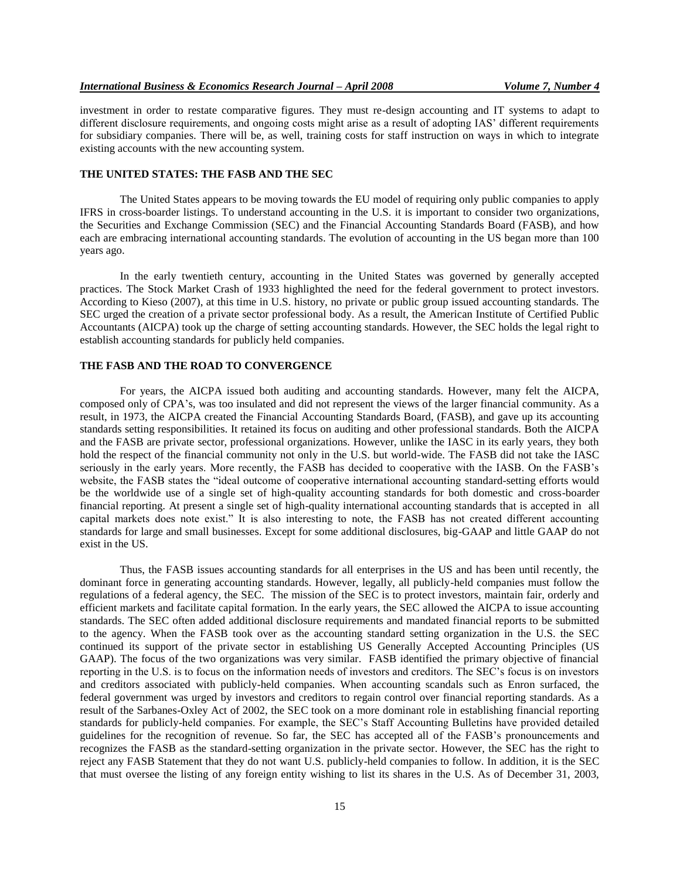investment in order to restate comparative figures. They must re-design accounting and IT systems to adapt to different disclosure requirements, and ongoing costs might arise as a result of adopting IAS' different requirements for subsidiary companies. There will be, as well, training costs for staff instruction on ways in which to integrate existing accounts with the new accounting system.

#### **THE UNITED STATES: THE FASB AND THE SEC**

The United States appears to be moving towards the EU model of requiring only public companies to apply IFRS in cross-boarder listings. To understand accounting in the U.S. it is important to consider two organizations, the Securities and Exchange Commission (SEC) and the Financial Accounting Standards Board (FASB), and how each are embracing international accounting standards. The evolution of accounting in the US began more than 100 years ago.

In the early twentieth century, accounting in the United States was governed by generally accepted practices. The Stock Market Crash of 1933 highlighted the need for the federal government to protect investors. According to Kieso (2007), at this time in U.S. history, no private or public group issued accounting standards. The SEC urged the creation of a private sector professional body. As a result, the American Institute of Certified Public Accountants (AICPA) took up the charge of setting accounting standards. However, the SEC holds the legal right to establish accounting standards for publicly held companies.

# **THE FASB AND THE ROAD TO CONVERGENCE**

For years, the AICPA issued both auditing and accounting standards. However, many felt the AICPA, composed only of CPA's, was too insulated and did not represent the views of the larger financial community. As a result, in 1973, the AICPA created the Financial Accounting Standards Board, (FASB), and gave up its accounting standards setting responsibilities. It retained its focus on auditing and other professional standards. Both the AICPA and the FASB are private sector, professional organizations. However, unlike the IASC in its early years, they both hold the respect of the financial community not only in the U.S. but world-wide. The FASB did not take the IASC seriously in the early years. More recently, the FASB has decided to cooperative with the IASB. On the FASB's website, the FASB states the "ideal outcome of cooperative international accounting standard-setting efforts would be the worldwide use of a single set of high-quality accounting standards for both domestic and cross-boarder financial reporting. At present a single set of high-quality international accounting standards that is accepted in all capital markets does note exist." It is also interesting to note, the FASB has not created different accounting standards for large and small businesses. Except for some additional disclosures, big-GAAP and little GAAP do not exist in the US.

Thus, the FASB issues accounting standards for all enterprises in the US and has been until recently, the dominant force in generating accounting standards. However, legally, all publicly-held companies must follow the regulations of a federal agency, the SEC. The mission of the SEC is to protect investors, maintain fair, orderly and efficient markets and facilitate capital formation. In the early years, the SEC allowed the AICPA to issue accounting standards. The SEC often added additional disclosure requirements and mandated financial reports to be submitted to the agency. When the FASB took over as the accounting standard setting organization in the U.S. the SEC continued its support of the private sector in establishing US Generally Accepted Accounting Principles (US GAAP). The focus of the two organizations was very similar. FASB identified the primary objective of financial reporting in the U.S. is to focus on the information needs of investors and creditors. The SEC's focus is on investors and creditors associated with publicly-held companies. When accounting scandals such as Enron surfaced, the federal government was urged by investors and creditors to regain control over financial reporting standards. As a result of the Sarbanes-Oxley Act of 2002, the SEC took on a more dominant role in establishing financial reporting standards for publicly-held companies. For example, the SEC's Staff Accounting Bulletins have provided detailed guidelines for the recognition of revenue. So far, the SEC has accepted all of the FASB's pronouncements and recognizes the FASB as the standard-setting organization in the private sector. However, the SEC has the right to reject any FASB Statement that they do not want U.S. publicly-held companies to follow. In addition, it is the SEC that must oversee the listing of any foreign entity wishing to list its shares in the U.S. As of December 31, 2003,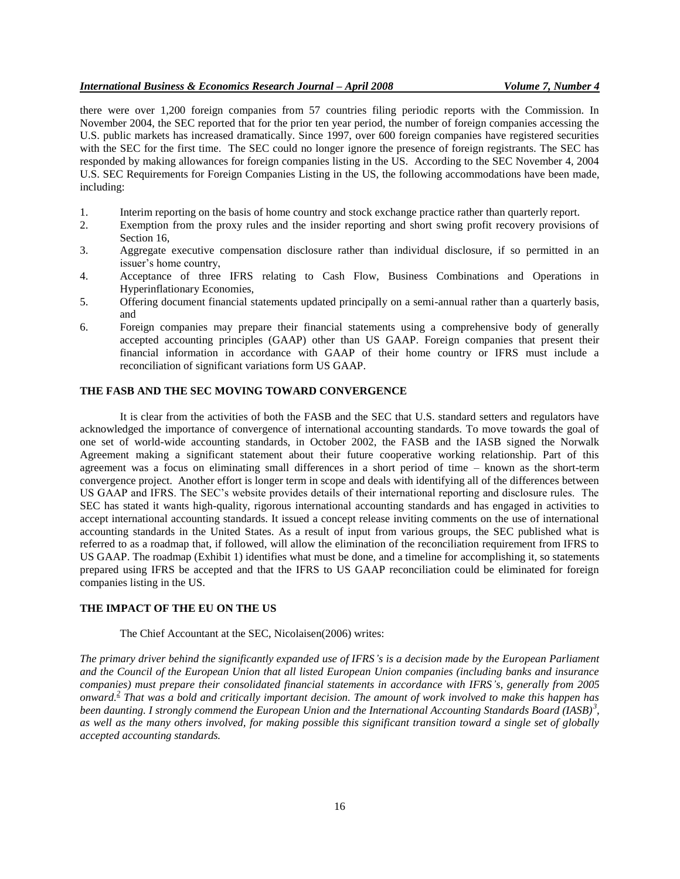## *International Business & Economics Research Journal – April 2008 Volume 7, Number 4*

there were over 1,200 foreign companies from 57 countries filing periodic reports with the Commission. In November 2004, the SEC reported that for the prior ten year period, the number of foreign companies accessing the U.S. public markets has increased dramatically. Since 1997, over 600 foreign companies have registered securities with the SEC for the first time. The SEC could no longer ignore the presence of foreign registrants. The SEC has responded by making allowances for foreign companies listing in the US. According to the SEC November 4, 2004 U.S. SEC Requirements for Foreign Companies Listing in the US, the following accommodations have been made, including:

- 1. Interim reporting on the basis of home country and stock exchange practice rather than quarterly report.
- 2. Exemption from the proxy rules and the insider reporting and short swing profit recovery provisions of Section 16,
- 3. Aggregate executive compensation disclosure rather than individual disclosure, if so permitted in an issuer's home country,
- 4. Acceptance of three IFRS relating to Cash Flow, Business Combinations and Operations in Hyperinflationary Economies,
- 5. Offering document financial statements updated principally on a semi-annual rather than a quarterly basis, and
- 6. Foreign companies may prepare their financial statements using a comprehensive body of generally accepted accounting principles (GAAP) other than US GAAP. Foreign companies that present their financial information in accordance with GAAP of their home country or IFRS must include a reconciliation of significant variations form US GAAP.

# **THE FASB AND THE SEC MOVING TOWARD CONVERGENCE**

It is clear from the activities of both the FASB and the SEC that U.S. standard setters and regulators have acknowledged the importance of convergence of international accounting standards. To move towards the goal of one set of world-wide accounting standards, in October 2002, the FASB and the IASB signed the Norwalk Agreement making a significant statement about their future cooperative working relationship. Part of this agreement was a focus on eliminating small differences in a short period of time – known as the short-term convergence project. Another effort is longer term in scope and deals with identifying all of the differences between US GAAP and IFRS. The SEC's website provides details of their international reporting and disclosure rules. The SEC has stated it wants high-quality, rigorous international accounting standards and has engaged in activities to accept international accounting standards. It issued a concept release inviting comments on the use of international accounting standards in the United States. As a result of input from various groups, the SEC published what is referred to as a roadmap that, if followed, will allow the elimination of the reconciliation requirement from IFRS to US GAAP. The roadmap (Exhibit 1) identifies what must be done, and a timeline for accomplishing it, so statements prepared using IFRS be accepted and that the IFRS to US GAAP reconciliation could be eliminated for foreign companies listing in the US.

#### **THE IMPACT OF THE EU ON THE US**

#### The Chief Accountant at the SEC, Nicolaisen(2006) writes:

*The primary driver behind the significantly expanded use of IFRS's is a decision made by the European Parliament and the Council of the European Union that all listed European Union companies (including banks and insurance companies) must prepare their consolidated financial statements in accordance with IFRS's, generally from 2005 onward[.](http://www.sec.gov/news/speech/spch040605dtn.htm#fn2#fn2)<sup>2</sup> That was a bold and critically important decision. The amount of work involved to make this happen has been daunting. I strongly commend the European Union and the International Accounting Standards Board (IASB)<sup>3</sup> [,](http://www.sec.gov/news/speech/spch040605dtn.htm#fn3#fn3) as well as the many others involved, for making possible this significant transition toward a single set of globally accepted accounting standards.*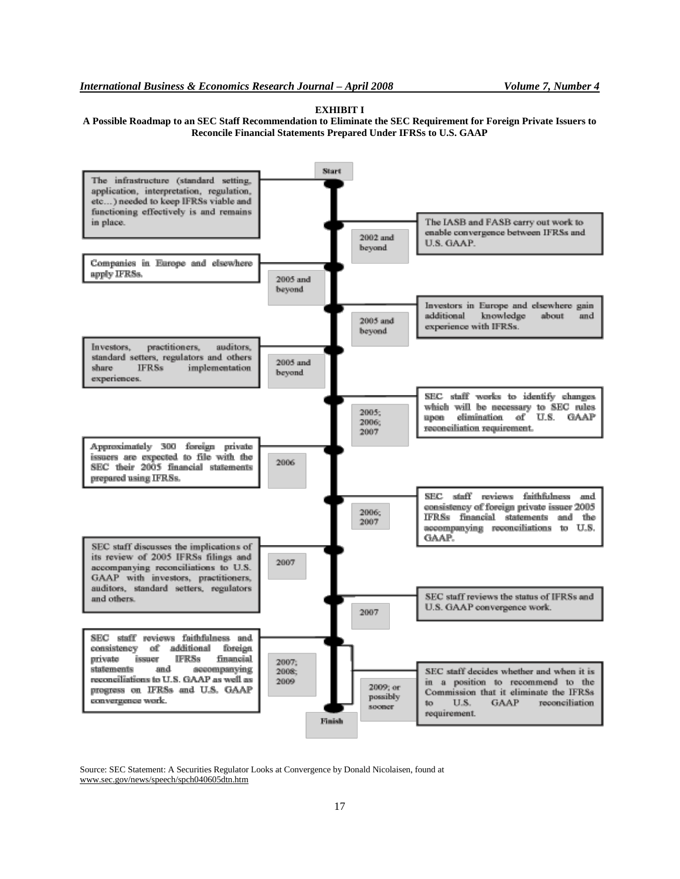**EXHIBIT I**

**A Possible Roadmap to an SEC Staff Recommendation to Eliminate the SEC Requirement for Foreign Private Issuers to Reconcile Financial Statements Prepared Under IFRSs to U.S. GAAP**



Source: SEC Statement: A Securities Regulator Looks at Convergence by Donald Nicolaisen, found at www.sec.gov/news/speech/spch040605dtn.htm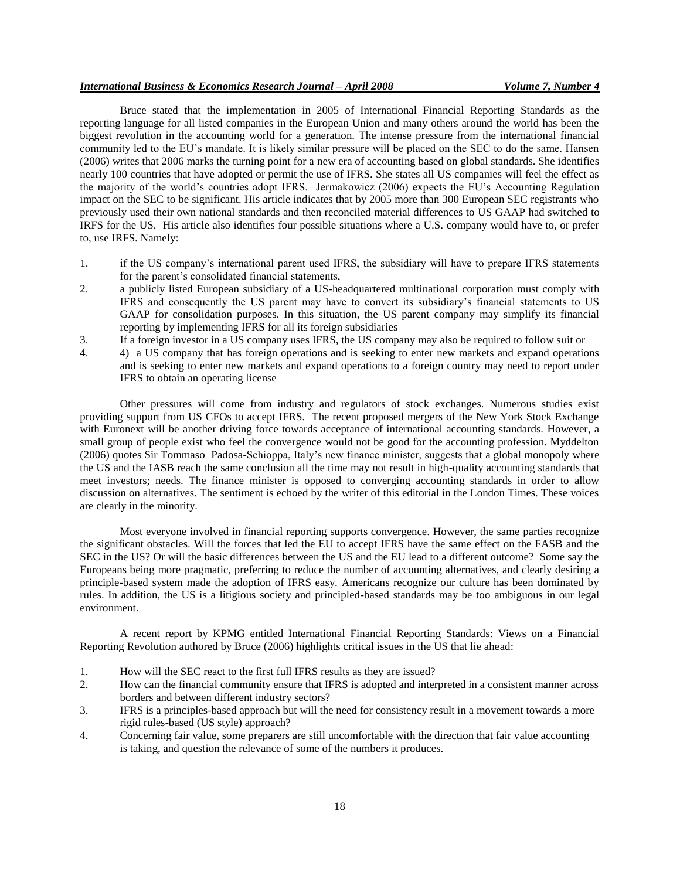#### *International Business & Economics Research Journal – April 2008 Volume 7, Number 4*

Bruce stated that the implementation in 2005 of International Financial Reporting Standards as the reporting language for all listed companies in the European Union and many others around the world has been the biggest revolution in the accounting world for a generation. The intense pressure from the international financial community led to the EU's mandate. It is likely similar pressure will be placed on the SEC to do the same. Hansen (2006) writes that 2006 marks the turning point for a new era of accounting based on global standards. She identifies nearly 100 countries that have adopted or permit the use of IFRS. She states all US companies will feel the effect as the majority of the world's countries adopt IFRS. Jermakowicz (2006) expects the EU's Accounting Regulation impact on the SEC to be significant. His article indicates that by 2005 more than 300 European SEC registrants who previously used their own national standards and then reconciled material differences to US GAAP had switched to IRFS for the US. His article also identifies four possible situations where a U.S. company would have to, or prefer to, use IRFS. Namely:

- 1. if the US company's international parent used IFRS, the subsidiary will have to prepare IFRS statements for the parent's consolidated financial statements,
- 2. a publicly listed European subsidiary of a US-headquartered multinational corporation must comply with IFRS and consequently the US parent may have to convert its subsidiary's financial statements to US GAAP for consolidation purposes. In this situation, the US parent company may simplify its financial reporting by implementing IFRS for all its foreign subsidiaries
- 3. If a foreign investor in a US company uses IFRS, the US company may also be required to follow suit or
- 4. 4) a US company that has foreign operations and is seeking to enter new markets and expand operations and is seeking to enter new markets and expand operations to a foreign country may need to report under IFRS to obtain an operating license

Other pressures will come from industry and regulators of stock exchanges. Numerous studies exist providing support from US CFOs to accept IFRS. The recent proposed mergers of the New York Stock Exchange with Euronext will be another driving force towards acceptance of international accounting standards. However, a small group of people exist who feel the convergence would not be good for the accounting profession. Myddelton (2006) quotes Sir Tommaso Padosa-Schioppa, Italy's new finance minister, suggests that a global monopoly where the US and the IASB reach the same conclusion all the time may not result in high-quality accounting standards that meet investors; needs. The finance minister is opposed to converging accounting standards in order to allow discussion on alternatives. The sentiment is echoed by the writer of this editorial in the London Times. These voices are clearly in the minority.

Most everyone involved in financial reporting supports convergence. However, the same parties recognize the significant obstacles. Will the forces that led the EU to accept IFRS have the same effect on the FASB and the SEC in the US? Or will the basic differences between the US and the EU lead to a different outcome? Some say the Europeans being more pragmatic, preferring to reduce the number of accounting alternatives, and clearly desiring a principle-based system made the adoption of IFRS easy. Americans recognize our culture has been dominated by rules. In addition, the US is a litigious society and principled-based standards may be too ambiguous in our legal environment.

A recent report by KPMG entitled International Financial Reporting Standards: Views on a Financial Reporting Revolution authored by Bruce (2006) highlights critical issues in the US that lie ahead:

- 1. How will the SEC react to the first full IFRS results as they are issued?
- 2. How can the financial community ensure that IFRS is adopted and interpreted in a consistent manner across borders and between different industry sectors?
- 3. IFRS is a principles-based approach but will the need for consistency result in a movement towards a more rigid rules-based (US style) approach?
- 4. Concerning fair value, some preparers are still uncomfortable with the direction that fair value accounting is taking, and question the relevance of some of the numbers it produces.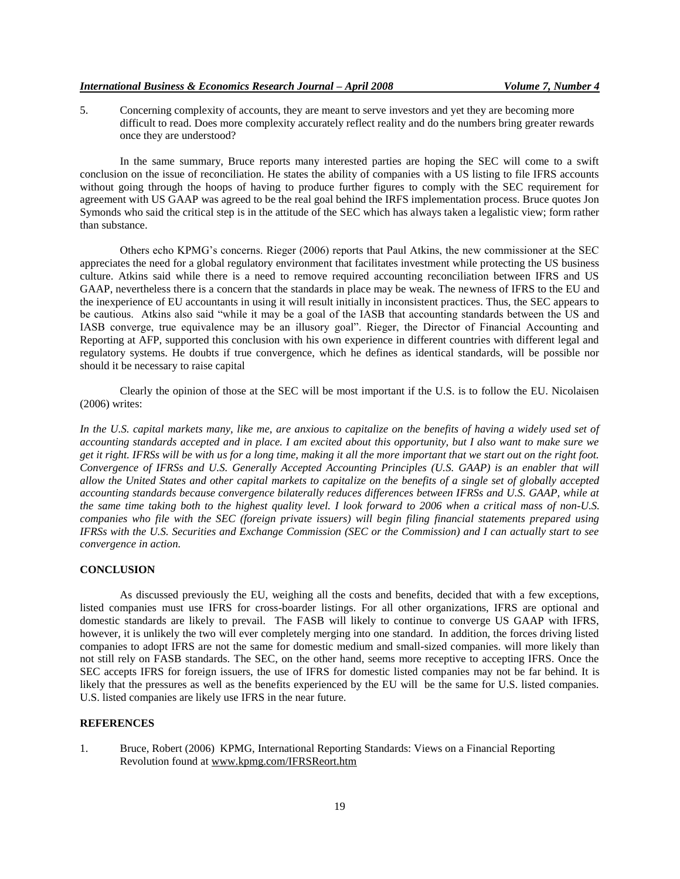5. Concerning complexity of accounts, they are meant to serve investors and yet they are becoming more difficult to read. Does more complexity accurately reflect reality and do the numbers bring greater rewards once they are understood?

In the same summary, Bruce reports many interested parties are hoping the SEC will come to a swift conclusion on the issue of reconciliation. He states the ability of companies with a US listing to file IFRS accounts without going through the hoops of having to produce further figures to comply with the SEC requirement for agreement with US GAAP was agreed to be the real goal behind the IRFS implementation process. Bruce quotes Jon Symonds who said the critical step is in the attitude of the SEC which has always taken a legalistic view; form rather than substance.

Others echo KPMG's concerns. Rieger (2006) reports that Paul Atkins, the new commissioner at the SEC appreciates the need for a global regulatory environment that facilitates investment while protecting the US business culture. Atkins said while there is a need to remove required accounting reconciliation between IFRS and US GAAP, nevertheless there is a concern that the standards in place may be weak. The newness of IFRS to the EU and the inexperience of EU accountants in using it will result initially in inconsistent practices. Thus, the SEC appears to be cautious. Atkins also said "while it may be a goal of the IASB that accounting standards between the US and IASB converge, true equivalence may be an illusory goal". Rieger, the Director of Financial Accounting and Reporting at AFP, supported this conclusion with his own experience in different countries with different legal and regulatory systems. He doubts if true convergence, which he defines as identical standards, will be possible nor should it be necessary to raise capital

Clearly the opinion of those at the SEC will be most important if the U.S. is to follow the EU. Nicolaisen (2006) writes:

In the U.S. capital markets many, like me, are anxious to capitalize on the benefits of having a widely used set of *accounting standards accepted and in place. I am excited about this opportunity, but I also want to make sure we get it right. IFRSs will be with us for a long time, making it all the more important that we start out on the right foot. Convergence of IFRSs and U.S. Generally Accepted Accounting Principles (U.S. GAAP) is an enabler that will allow the United States and other capital markets to capitalize on the benefits of a single set of globally accepted accounting standards because convergence bilaterally reduces differences between IFRSs and U.S. GAAP, while at the same time taking both to the highest quality level. I look forward to 2006 when a critical mass of non-U.S. companies who file with the SEC (foreign private issuers) will begin filing financial statements prepared using IFRSs with the U.S. Securities and Exchange Commission (SEC or the Commission) and I can actually start to see convergence in action.*

#### **CONCLUSION**

As discussed previously the EU, weighing all the costs and benefits, decided that with a few exceptions, listed companies must use IFRS for cross-boarder listings. For all other organizations, IFRS are optional and domestic standards are likely to prevail. The FASB will likely to continue to converge US GAAP with IFRS, however, it is unlikely the two will ever completely merging into one standard. In addition, the forces driving listed companies to adopt IFRS are not the same for domestic medium and small-sized companies. will more likely than not still rely on FASB standards. The SEC, on the other hand, seems more receptive to accepting IFRS. Once the SEC accepts IFRS for foreign issuers, the use of IFRS for domestic listed companies may not be far behind. It is likely that the pressures as well as the benefits experienced by the EU will be the same for U.S. listed companies. U.S. listed companies are likely use IFRS in the near future.

#### **REFERENCES**

1. Bruce, Robert (2006) KPMG, International Reporting Standards: Views on a Financial Reporting Revolution found at www.kpmg.com/IFRSReort.htm